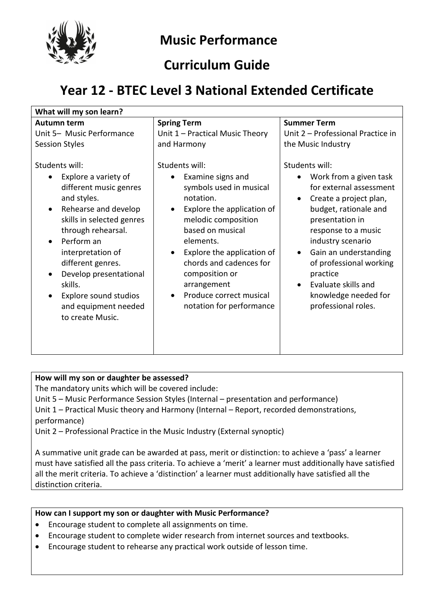

# **Music Performance**

### **Curriculum Guide**

# **Year 12 - BTEC Level 3 National Extended Certificate**

| What will my son learn?                                                                                                                                                                                                                                                                                                                                                                       |                                                                                                                                                                                                                                                                                                                    |                                                                                                                                                                                                                                                                                                                                                       |  |
|-----------------------------------------------------------------------------------------------------------------------------------------------------------------------------------------------------------------------------------------------------------------------------------------------------------------------------------------------------------------------------------------------|--------------------------------------------------------------------------------------------------------------------------------------------------------------------------------------------------------------------------------------------------------------------------------------------------------------------|-------------------------------------------------------------------------------------------------------------------------------------------------------------------------------------------------------------------------------------------------------------------------------------------------------------------------------------------------------|--|
| Autumn term                                                                                                                                                                                                                                                                                                                                                                                   | <b>Spring Term</b>                                                                                                                                                                                                                                                                                                 | <b>Summer Term</b>                                                                                                                                                                                                                                                                                                                                    |  |
| Unit 5- Music Performance<br><b>Session Styles</b>                                                                                                                                                                                                                                                                                                                                            | Unit 1 - Practical Music Theory<br>and Harmony                                                                                                                                                                                                                                                                     | Unit 2 - Professional Practice in<br>the Music Industry                                                                                                                                                                                                                                                                                               |  |
| Students will:<br>Explore a variety of<br>$\bullet$<br>different music genres<br>and styles.<br>Rehearse and develop<br>$\bullet$<br>skills in selected genres<br>through rehearsal.<br>Perform an<br>$\bullet$<br>interpretation of<br>different genres.<br>Develop presentational<br>$\bullet$<br>skills.<br>Explore sound studios<br>$\bullet$<br>and equipment needed<br>to create Music. | Students will:<br>Examine signs and<br>symbols used in musical<br>notation.<br>Explore the application of<br>melodic composition<br>based on musical<br>elements.<br>Explore the application of<br>chords and cadences for<br>composition or<br>arrangement<br>Produce correct musical<br>notation for performance | Students will:<br>Work from a given task<br>for external assessment<br>Create a project plan,<br>budget, rationale and<br>presentation in<br>response to a music<br>industry scenario<br>Gain an understanding<br>$\bullet$<br>of professional working<br>practice<br>Evaluate skills and<br>$\bullet$<br>knowledge needed for<br>professional roles. |  |

### **How will my son or daughter be assessed?**

The mandatory units which will be covered include:

Unit 5 – Music Performance Session Styles (Internal – presentation and performance) Unit 1 – Practical Music theory and Harmony (Internal – Report, recorded demonstrations, performance)

Unit 2 – Professional Practice in the Music Industry (External synoptic)

A summative unit grade can be awarded at pass, merit or distinction: to achieve a 'pass' a learner must have satisfied all the pass criteria. To achieve a 'merit' a learner must additionally have satisfied all the merit criteria. To achieve a 'distinction' a learner must additionally have satisfied all the distinction criteria.

### **How can I support my son or daughter with Music Performance?**

- Encourage student to complete all assignments on time.
- Encourage student to complete wider research from internet sources and textbooks.
- Encourage student to rehearse any practical work outside of lesson time.